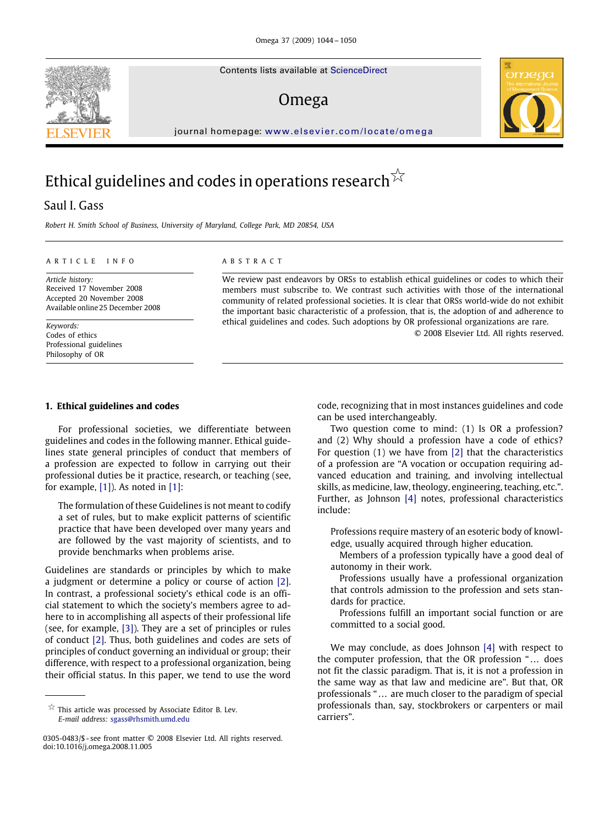Contents lists available at [ScienceDirect](http://www.sciencedirect.com/science/journal/omega)

## Omega



journal homepage: [www.elsevier.com/locate/omega](http://www.elsevier.com/locate/omega)

# Ethical guidelines and codes in operations research  $^{\not\sim}$

### Saul I. Gass

*Robert H. Smith School of Business, University of Maryland, College Park, MD 20854, USA*

#### ARTICLE INFO ABSTRACT

*Article history:* Received 17 November 2008 Accepted 20 November 2008 Available online 25 December 2008

*Keywords:* Codes of ethics Professional guidelines Philosophy of OR

We review past endeavors by ORSs to establish ethical guidelines or codes to which their members must subscribe to. We contrast such activities with those of the international community of related professional societies. It is clear that ORSs world-wide do not exhibit the important basic characteristic of a profession, that is, the adoption of and adherence to ethical guidelines and codes. Such adoptions by OR professional organizations are rare.

© 2008 Elsevier Ltd. All rights reserved.

#### **1. Ethical guidelines and codes**

For professional societies, we differentiate between guidelines and codes in the following manner. Ethical guidelines state general principles of conduct that members of a profession are expected to follow in carrying out their professional duties be it practice, research, or teaching (see, for example, [\[1\]\)](#page--1-0). As noted in [\[1\]:](#page--1-0)

The formulation of these Guidelines is not meant to codify a set of rules, but to make explicit patterns of scientific practice that have been developed over many years and are followed by the vast majority of scientists, and to provide benchmarks when problems arise.

Guidelines are standards or principles by which to make a judgment or determine a policy or course of action [\[2\].](#page--1-1) In contrast, a professional society's ethical code is an official statement to which the society's members agree to adhere to in accomplishing all aspects of their professional life (see, for example, [\[3\]\)](#page--1-2). They are a set of principles or rules of conduct [\[2\].](#page--1-1) Thus, both guidelines and codes are sets of principles of conduct governing an individual or group; their difference, with respect to a professional organization, being their official status. In this paper, we tend to use the word

 $\overleftrightarrow{\mathbb{X}}$  This article was processed by Associate Editor B. Lev. *E-mail address:* [sgass@rhsmith.umd.edu](mailto:sgass@rhsmith.umd.edu)

code, recognizing that in most instances guidelines and code can be used interchangeably.

Two question come to mind: (1) Is OR a profession? and (2) Why should a profession have a code of ethics? For question (1) we have from [\[2\]](#page--1-1) that the characteristics of a profession are "A vocation or occupation requiring advanced education and training, and involving intellectual skills, as medicine, law, theology, engineering, teaching, etc.". Further, as Johnson [\[4\]](#page--1-3) notes, professional characteristics include:

Professions require mastery of an esoteric body of knowledge, usually acquired through higher education.

Members of a profession typically have a good deal of autonomy in their work.

Professions usually have a professional organization that controls admission to the profession and sets standards for practice.

Professions fulfill an important social function or are committed to a social good.

We may conclude, as does Johnson [\[4\]](#page--1-3) with respect to the computer profession, that the OR profession " ... does not fit the classic paradigm. That is, it is not a profession in the same way as that law and medicine are". But that, OR professionals " ... are much closer to the paradigm of special professionals than, say, stockbrokers or carpenters or mail carriers".



<sup>0305-0483/\$ -</sup> see front matter © 2008 Elsevier Ltd. All rights reserved. doi:10.1016/j.omega.2008.11.005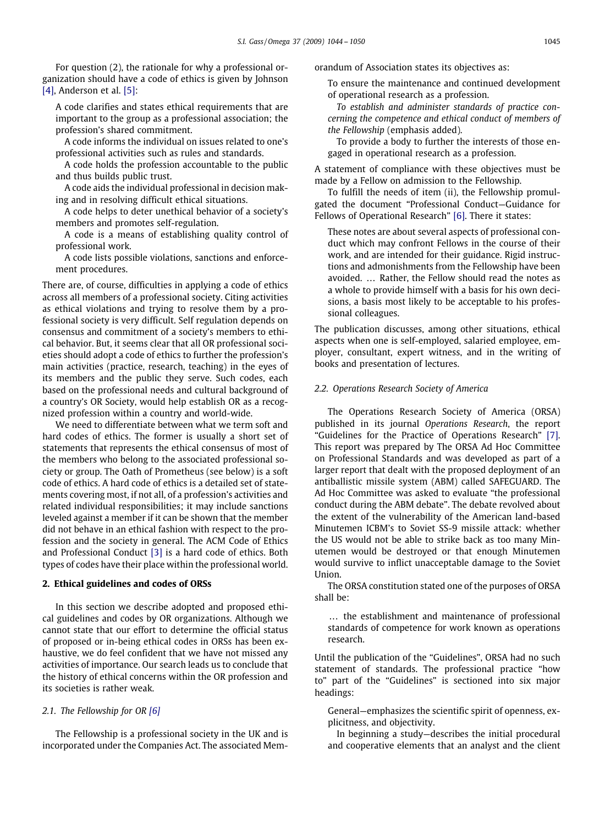For question (2), the rationale for why a professional organization should have a code of ethics is given by Johnson [\[4\],](#page--1-3) Anderson et al. [\[5\]:](#page--1-4)

A code clarifies and states ethical requirements that are important to the group as a professional association; the profession's shared commitment.

A code informs the individual on issues related to one's professional activities such as rules and standards.

A code holds the profession accountable to the public and thus builds public trust.

A code aids the individual professional in decision making and in resolving difficult ethical situations.

A code helps to deter unethical behavior of a society's members and promotes self-regulation.

A code is a means of establishing quality control of professional work.

A code lists possible violations, sanctions and enforcement procedures.

There are, of course, difficulties in applying a code of ethics across all members of a professional society. Citing activities as ethical violations and trying to resolve them by a professional society is very difficult. Self regulation depends on consensus and commitment of a society's members to ethical behavior. But, it seems clear that all OR professional societies should adopt a code of ethics to further the profession's main activities (practice, research, teaching) in the eyes of its members and the public they serve. Such codes, each based on the professional needs and cultural background of a country's OR Society, would help establish OR as a recognized profession within a country and world-wide.

We need to differentiate between what we term soft and hard codes of ethics. The former is usually a short set of statements that represents the ethical consensus of most of the members who belong to the associated professional society or group. The Oath of Prometheus (see below) is a soft code of ethics. A hard code of ethics is a detailed set of statements covering most, if not all, of a profession's activities and related individual responsibilities; it may include sanctions leveled against a member if it can be shown that the member did not behave in an ethical fashion with respect to the profession and the society in general. The ACM Code of Ethics and Professional Conduct [\[3\]](#page--1-2) is a hard code of ethics. Both types of codes have their place within the professional world.

#### **2. Ethical guidelines and codes of ORSs**

In this section we describe adopted and proposed ethical guidelines and codes by OR organizations. Although we cannot state that our effort to determine the official status of proposed or in-being ethical codes in ORSs has been exhaustive, we do feel confident that we have not missed any activities of importance. Our search leads us to conclude that the history of ethical concerns within the OR profession and its societies is rather weak.

#### *2.1. The Fellowship for OR [\[6\]](#page--1-5)*

The Fellowship is a professional society in the UK and is incorporated under the Companies Act. The associated Memorandum of Association states its objectives as:

To ensure the maintenance and continued development of operational research as a profession.

*To establish and administer standards of practice concerning the competence and ethical conduct of members of the Fellowship* (emphasis added).

To provide a body to further the interests of those engaged in operational research as a profession.

A statement of compliance with these objectives must be made by a Fellow on admission to the Fellowship.

To fulfill the needs of item (ii), the Fellowship promulgated the document "Professional Conduct—Guidance for Fellows of Operational Research" [\[6\].](#page--1-5) There it states:

These notes are about several aspects of professional conduct which may confront Fellows in the course of their work, and are intended for their guidance. Rigid instructions and admonishments from the Fellowship have been avoided. ... Rather, the Fellow should read the notes as a whole to provide himself with a basis for his own decisions, a basis most likely to be acceptable to his professional colleagues.

The publication discusses, among other situations, ethical aspects when one is self-employed, salaried employee, employer, consultant, expert witness, and in the writing of books and presentation of lectures.

#### *2.2. Operations Research Society of America*

The Operations Research Society of America (ORSA) published in its journal *Operations Research*, the report "Guidelines for the Practice of Operations Research" [\[7\].](#page--1-6) This report was prepared by The ORSA Ad Hoc Committee on Professional Standards and was developed as part of a larger report that dealt with the proposed deployment of an antiballistic missile system (ABM) called SAFEGUARD. The Ad Hoc Committee was asked to evaluate "the professional conduct during the ABM debate". The debate revolved about the extent of the vulnerability of the American land-based Minutemen ICBM's to Soviet SS-9 missile attack: whether the US would not be able to strike back as too many Minutemen would be destroyed or that enough Minutemen would survive to inflict unacceptable damage to the Soviet **Union** 

The ORSA constitution stated one of the purposes of ORSA shall be:

... the establishment and maintenance of professional standards of competence for work known as operations research.

Until the publication of the "Guidelines", ORSA had no such statement of standards. The professional practice "how to" part of the "Guidelines" is sectioned into six major headings:

General—emphasizes the scientific spirit of openness, explicitness, and objectivity.

In beginning a study—describes the initial procedural and cooperative elements that an analyst and the client